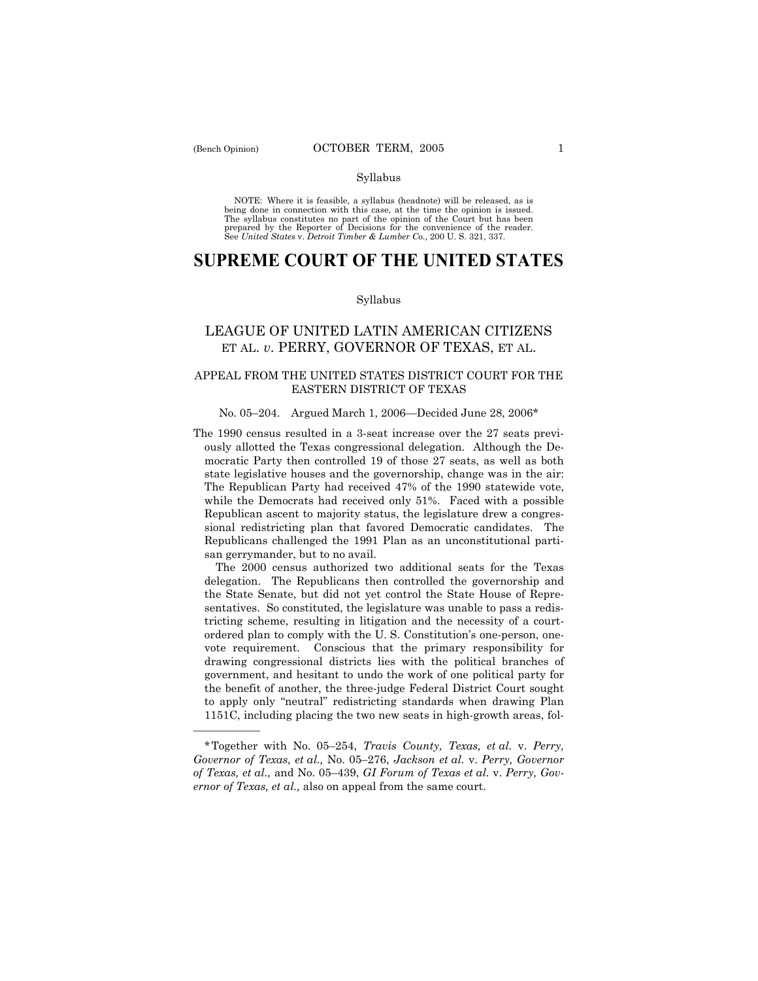óóóóóó

#### Syllabus

NOTE: Where it is feasible, a syllabus (headnote) will be released, as is being done in connection with this case, at the time the opinion is issued. The syllabus constitutes no part of the opinion of the Court but has been<br>prepared by the Reporter of Decisions for the convenience of the reader.<br>See United States v. Detroit Timber & Lumber Co., 200 U. S. 321, 337.

# **SUPREME COURT OF THE UNITED STATES**

#### Syllabus

# LEAGUE OF UNITED LATIN AMERICAN CITIZENS ET AL. *v*. PERRY, GOVERNOR OF TEXAS, ET AL.

# APPEAL FROM THE UNITED STATES DISTRICT COURT FOR THE EASTERN DISTRICT OF TEXAS

#### No. 05 $-204$ . Argued March 1, 2006 $-$ Decided June 28, 2006 $*$

The 1990 census resulted in a 3-seat increase over the 27 seats previously allotted the Texas congressional delegation. Although the Democratic Party then controlled 19 of those 27 seats, as well as both state legislative houses and the governorship, change was in the air: The Republican Party had received 47% of the 1990 statewide vote, while the Democrats had received only 51%. Faced with a possible Republican ascent to majority status, the legislature drew a congressional redistricting plan that favored Democratic candidates. The Republicans challenged the 1991 Plan as an unconstitutional partisan gerrymander, but to no avail.

 The 2000 census authorized two additional seats for the Texas delegation. The Republicans then controlled the governorship and the State Senate, but did not yet control the State House of Representatives. So constituted, the legislature was unable to pass a redistricting scheme, resulting in litigation and the necessity of a courtordered plan to comply with the U.S. Constitution's one-person, onevote requirement. Conscious that the primary responsibility for drawing congressional districts lies with the political branches of government, and hesitant to undo the work of one political party for the benefit of another, the three-judge Federal District Court sought to apply only "neutral" redistricting standards when drawing Plan 1151C, including placing the two new seats in high-growth areas, fol-

<sup>\*</sup>Together with No. 05–254, *Travis County, Texas, et al.* v. *Perry, Governor of Texas, et al., No. 05-276, Jackson et al. v. Perry, Governor* of Texas, et al., and No. 05-439, *GI Forum of Texas et al.* v. Perry, Gov*ernor of Texas, et al.,* also on appeal from the same court.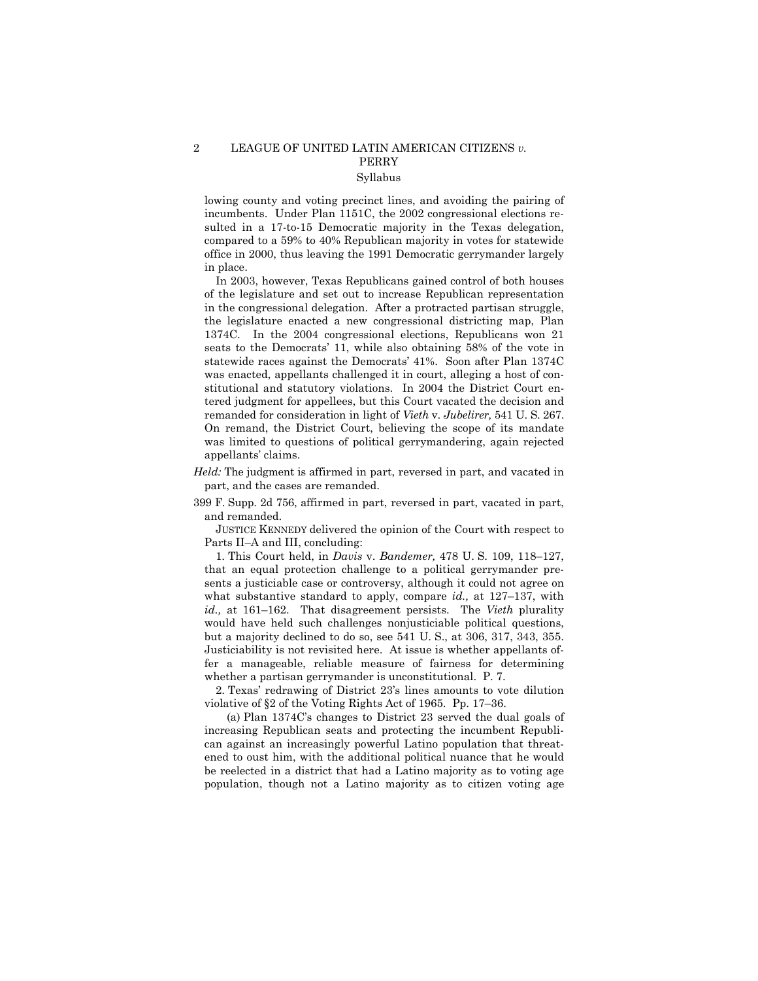# 2 LEAGUE OF UNITED LATIN AMERICAN CITIZENS *v.* PERRY Syllabus

lowing county and voting precinct lines, and avoiding the pairing of incumbents. Under Plan 1151C, the 2002 congressional elections resulted in a 17-to-15 Democratic majority in the Texas delegation, compared to a 59% to 40% Republican majority in votes for statewide office in 2000, thus leaving the 1991 Democratic gerrymander largely in place.

 In 2003, however, Texas Republicans gained control of both houses of the legislature and set out to increase Republican representation in the congressional delegation. After a protracted partisan struggle, the legislature enacted a new congressional districting map, Plan 1374C. In the 2004 congressional elections, Republicans won 21 seats to the Democrats' 11, while also obtaining 58% of the vote in statewide races against the Democrats' 41%. Soon after Plan 1374C was enacted, appellants challenged it in court, alleging a host of constitutional and statutory violations. In 2004 the District Court entered judgment for appellees, but this Court vacated the decision and remanded for consideration in light of *Vieth* v. *Jubelirer,* 541 U. S. 267. On remand, the District Court, believing the scope of its mandate was limited to questions of political gerrymandering, again rejected appellants' claims.

- *Held:* The judgment is affirmed in part, reversed in part, and vacated in part, and the cases are remanded.
- 399 F. Supp. 2d 756, affirmed in part, reversed in part, vacated in part, and remanded.

 JUSTICE KENNEDY delivered the opinion of the Court with respect to Parts II-A and III, concluding:

1. This Court held, in *Davis* v. *Bandemer*, 478 U. S. 109, 118–127, that an equal protection challenge to a political gerrymander presents a justiciable case or controversy, although it could not agree on what substantive standard to apply, compare *id.*, at 127–137, with *id.*, at 161–162. That disagreement persists. The *Vieth* plurality would have held such challenges nonjusticiable political questions, but a majority declined to do so, see 541 U. S., at 306, 317, 343, 355. Justiciability is not revisited here. At issue is whether appellants offer a manageable, reliable measure of fairness for determining whether a partisan gerrymander is unconstitutional. P. 7.

 2. Texasí redrawing of District 23ís lines amounts to vote dilution violative of  $\S 2$  of the Voting Rights Act of 1965. Pp. 17-36.

(a) Plan  $1374C$ 's changes to District 23 served the dual goals of increasing Republican seats and protecting the incumbent Republican against an increasingly powerful Latino population that threatened to oust him, with the additional political nuance that he would be reelected in a district that had a Latino majority as to voting age population, though not a Latino majority as to citizen voting age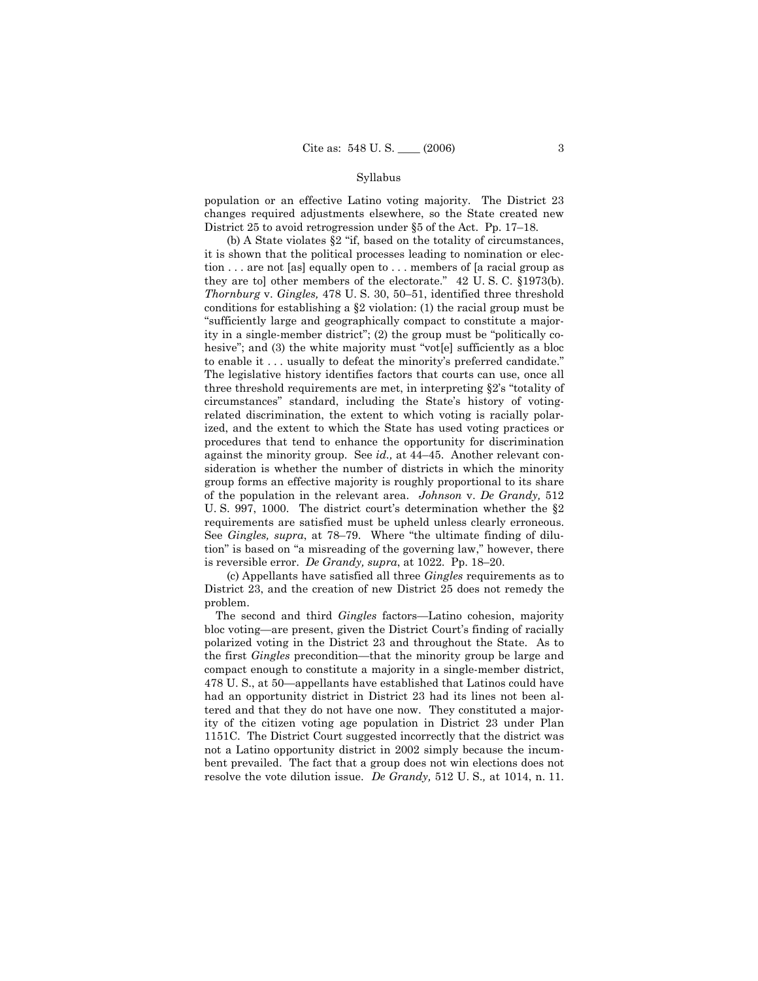population or an effective Latino voting majority. The District 23 changes required adjustments elsewhere, so the State created new District 25 to avoid retrogression under  $\S 5$  of the Act. Pp. 17–18.

(b) A State violates  $\S2$  "if, based on the totality of circumstances, it is shown that the political processes leading to nomination or election . . . are not [as] equally open to . . . members of [a racial group as they are tol other members of the electorate."  $42 \text{ U. S. C. }$  §1973(b). *Thornburg* v. *Gingles*, 478 U. S. 30, 50–51, identified three threshold conditions for establishing a  $\S2$  violation: (1) the racial group must be "sufficiently large and geographically compact to constitute a majority in a single-member district"; (2) the group must be "politically cohesive"; and  $(3)$  the white majority must "vot[e] sufficiently as a bloc to enable it . . . usually to defeat the minority's preferred candidate." The legislative history identifies factors that courts can use, once all three threshold requirements are met, in interpreting  $\S 2$ 's "totality of circumstances" standard, including the State's history of votingrelated discrimination, the extent to which voting is racially polarized, and the extent to which the State has used voting practices or procedures that tend to enhance the opportunity for discrimination against the minority group. See *id.*, at 44-45. Another relevant consideration is whether the number of districts in which the minority group forms an effective majority is roughly proportional to its share of the population in the relevant area. *Johnson* v. *De Grandy,* 512 U. S. 997, 1000. The district court's determination whether the  $\S2$ requirements are satisfied must be upheld unless clearly erroneous. See *Gingles, supra*, at 78–79. Where "the ultimate finding of dilution" is based on "a misreading of the governing law," however, there is reversible error. *De Grandy, supra*, at  $1022$ . Pp.  $18-20$ .

 (c) Appellants have satisfied all three *Gingles* requirements as to District 23, and the creation of new District 25 does not remedy the problem.

The second and third *Gingles* factors—Latino cohesion, majority bloc voting—are present, given the District Court's finding of racially polarized voting in the District 23 and throughout the State. As to the first *Gingles* precondition—that the minority group be large and compact enough to constitute a majority in a single-member district, 478 U.S., at 50—appellants have established that Latinos could have had an opportunity district in District 23 had its lines not been altered and that they do not have one now. They constituted a majority of the citizen voting age population in District 23 under Plan 1151C. The District Court suggested incorrectly that the district was not a Latino opportunity district in 2002 simply because the incumbent prevailed. The fact that a group does not win elections does not resolve the vote dilution issue. *De Grandy,* 512 U. S.*,* at 1014, n. 11.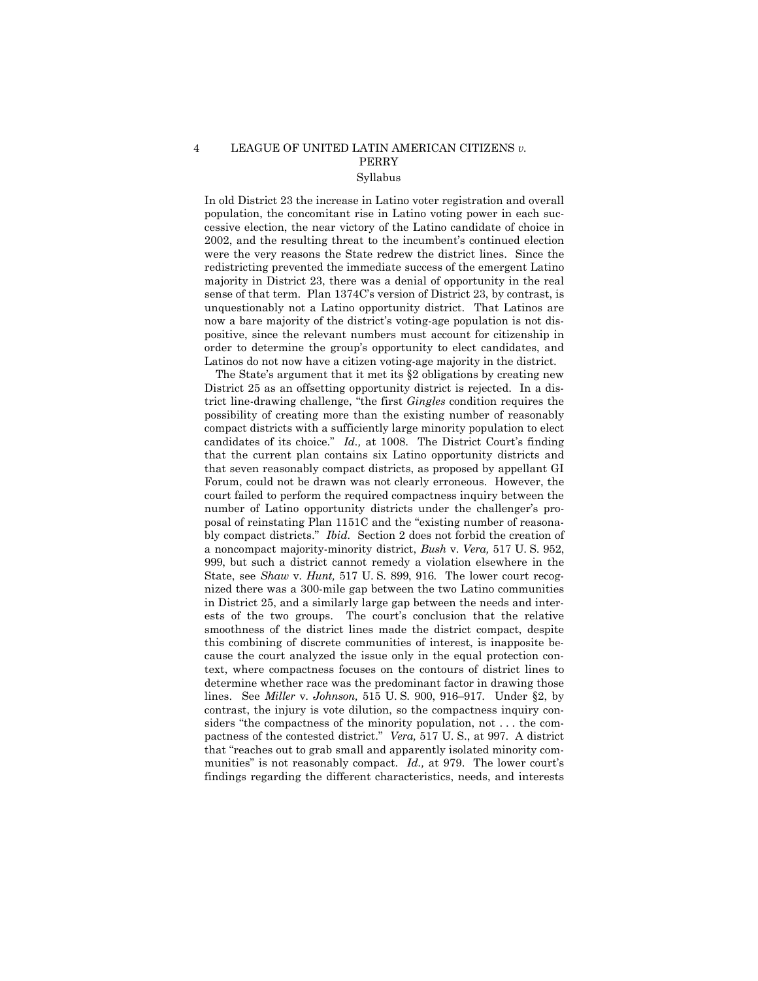# 4 LEAGUE OF UNITED LATIN AMERICAN CITIZENS *v.* PERRY Syllabus

In old District 23 the increase in Latino voter registration and overall population, the concomitant rise in Latino voting power in each successive election, the near victory of the Latino candidate of choice in 2002, and the resulting threat to the incumbent's continued election were the very reasons the State redrew the district lines. Since the redistricting prevented the immediate success of the emergent Latino majority in District 23, there was a denial of opportunity in the real sense of that term. Plan 1374C's version of District 23, by contrast, is unquestionably not a Latino opportunity district. That Latinos are now a bare majority of the district's voting-age population is not dispositive, since the relevant numbers must account for citizenship in order to determine the groupís opportunity to elect candidates, and Latinos do not now have a citizen voting-age majority in the district.

The State's argument that it met its  $\S 2$  obligations by creating new District 25 as an offsetting opportunity district is rejected. In a district line-drawing challenge, "the first *Gingles* condition requires the possibility of creating more than the existing number of reasonably compact districts with a sufficiently large minority population to elect candidates of its choice.<sup>"</sup> *Id.*, at 1008. The District Court's finding that the current plan contains six Latino opportunity districts and that seven reasonably compact districts, as proposed by appellant GI Forum, could not be drawn was not clearly erroneous. However, the court failed to perform the required compactness inquiry between the number of Latino opportunity districts under the challenger's proposal of reinstating Plan 1151C and the "existing number of reasonably compact districts." *Ibid.* Section 2 does not forbid the creation of a noncompact majority-minority district, *Bush* v. *Vera,* 517 U. S. 952, 999, but such a district cannot remedy a violation elsewhere in the State, see *Shaw* v. *Hunt,* 517 U. S. 899, 916. The lower court recognized there was a 300-mile gap between the two Latino communities in District 25, and a similarly large gap between the needs and interests of the two groups. The court's conclusion that the relative smoothness of the district lines made the district compact, despite this combining of discrete communities of interest, is inapposite because the court analyzed the issue only in the equal protection context, where compactness focuses on the contours of district lines to determine whether race was the predominant factor in drawing those lines. See *Miller* v. *Johnson*, 515 U.S. 900, 916–917. Under §2, by contrast, the injury is vote dilution, so the compactness inquiry considers "the compactness of the minority population, not  $\dots$  the compactness of the contested district.î *Vera,* 517 U. S., at 997. A district that "reaches out to grab small and apparently isolated minority communities" is not reasonably compact. *Id.*, at 979. The lower court's findings regarding the different characteristics, needs, and interests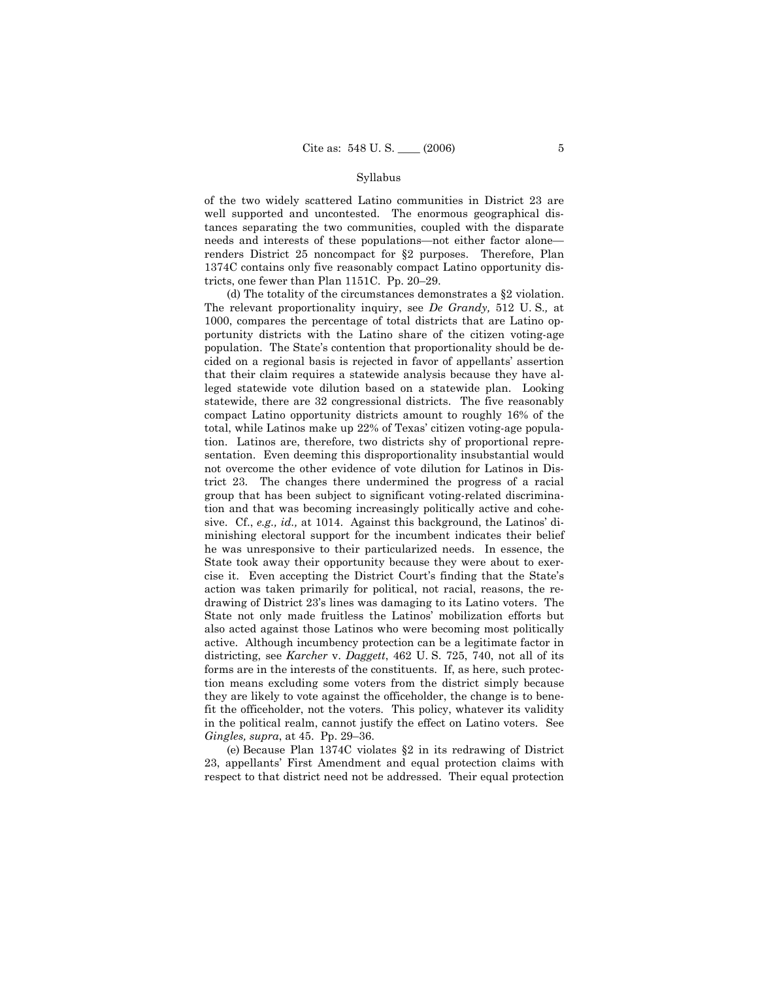of the two widely scattered Latino communities in District 23 are well supported and uncontested. The enormous geographical distances separating the two communities, coupled with the disparate needs and interests of these populations—not either factor alone renders District 25 noncompact for ß2 purposes. Therefore, Plan 1374C contains only five reasonably compact Latino opportunity districts, one fewer than Plan  $1151C$ . Pp. 20–29.

 (d) The totality of the circumstances demonstrates a ß2 violation. The relevant proportionality inquiry, see *De Grandy,* 512 U. S.*,* at 1000, compares the percentage of total districts that are Latino opportunity districts with the Latino share of the citizen voting-age population. The State's contention that proportionality should be decided on a regional basis is rejected in favor of appellants' assertion that their claim requires a statewide analysis because they have alleged statewide vote dilution based on a statewide plan. Looking statewide, there are 32 congressional districts. The five reasonably compact Latino opportunity districts amount to roughly 16% of the total, while Latinos make up 22% of Texas' citizen voting-age population. Latinos are, therefore, two districts shy of proportional representation. Even deeming this disproportionality insubstantial would not overcome the other evidence of vote dilution for Latinos in District 23. The changes there undermined the progress of a racial group that has been subject to significant voting-related discrimination and that was becoming increasingly politically active and cohesive. Cf., *e.g., id.*, at 1014. Against this background, the Latinos' diminishing electoral support for the incumbent indicates their belief he was unresponsive to their particularized needs. In essence, the State took away their opportunity because they were about to exercise it. Even accepting the District Court's finding that the State's action was taken primarily for political, not racial, reasons, the redrawing of District 23ís lines was damaging to its Latino voters. The State not only made fruitless the Latinos' mobilization efforts but also acted against those Latinos who were becoming most politically active. Although incumbency protection can be a legitimate factor in districting, see *Karcher* v. *Daggett*, 462 U. S. 725, 740, not all of its forms are in the interests of the constituents. If, as here, such protection means excluding some voters from the district simply because they are likely to vote against the officeholder, the change is to benefit the officeholder, not the voters. This policy, whatever its validity in the political realm, cannot justify the effect on Latino voters. See *Gingles, supra, at 45. Pp. 29-36.* 

 (e) Because Plan 1374C violates ß2 in its redrawing of District 23, appellantsí First Amendment and equal protection claims with respect to that district need not be addressed. Their equal protection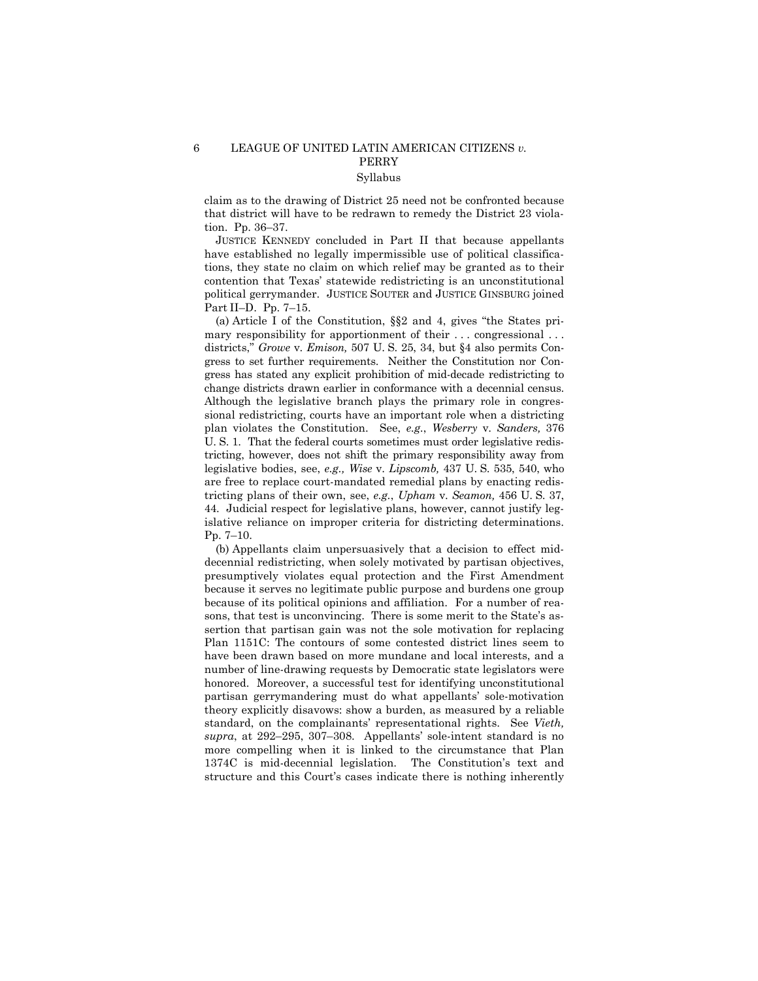claim as to the drawing of District 25 need not be confronted because that district will have to be redrawn to remedy the District 23 violation. Pp.  $36-37$ .

 JUSTICE KENNEDY concluded in Part II that because appellants have established no legally impermissible use of political classifications, they state no claim on which relief may be granted as to their contention that Texas' statewide redistricting is an unconstitutional political gerrymander. JUSTICE SOUTER and JUSTICE GINSBURG joined Part II-D. Pp. 7-15.

(a) Article I of the Constitution,  $\S$ 2 and 4, gives "the States primary responsibility for apportionment of their ... congressional ... districts," *Growe* v. *Emison*, 507 U. S. 25, 34, but §4 also permits Congress to set further requirements. Neither the Constitution nor Congress has stated any explicit prohibition of mid-decade redistricting to change districts drawn earlier in conformance with a decennial census. Although the legislative branch plays the primary role in congressional redistricting, courts have an important role when a districting plan violates the Constitution. See, *e.g.*, *Wesberry* v. *Sanders,* 376 U. S. 1. That the federal courts sometimes must order legislative redistricting, however, does not shift the primary responsibility away from legislative bodies, see, *e.g., Wise* v. *Lipscomb,* 437 U. S. 535, 540, who are free to replace court-mandated remedial plans by enacting redistricting plans of their own, see, *e.g.*, *Upham* v. *Seamon,* 456 U. S. 37, 44. Judicial respect for legislative plans, however, cannot justify legislative reliance on improper criteria for districting determinations. Pp.  $7-10$ .

 (b) Appellants claim unpersuasively that a decision to effect middecennial redistricting, when solely motivated by partisan objectives, presumptively violates equal protection and the First Amendment because it serves no legitimate public purpose and burdens one group because of its political opinions and affiliation. For a number of reasons, that test is unconvincing. There is some merit to the State's assertion that partisan gain was not the sole motivation for replacing Plan 1151C: The contours of some contested district lines seem to have been drawn based on more mundane and local interests, and a number of line-drawing requests by Democratic state legislators were honored. Moreover, a successful test for identifying unconstitutional partisan gerrymandering must do what appellants' sole-motivation theory explicitly disavows: show a burden, as measured by a reliable standard, on the complainants' representational rights. See *Vieth*, supra, at 292-295, 307-308. Appellants' sole-intent standard is no more compelling when it is linked to the circumstance that Plan 1374C is mid-decennial legislation. The Constitution's text and structure and this Court's cases indicate there is nothing inherently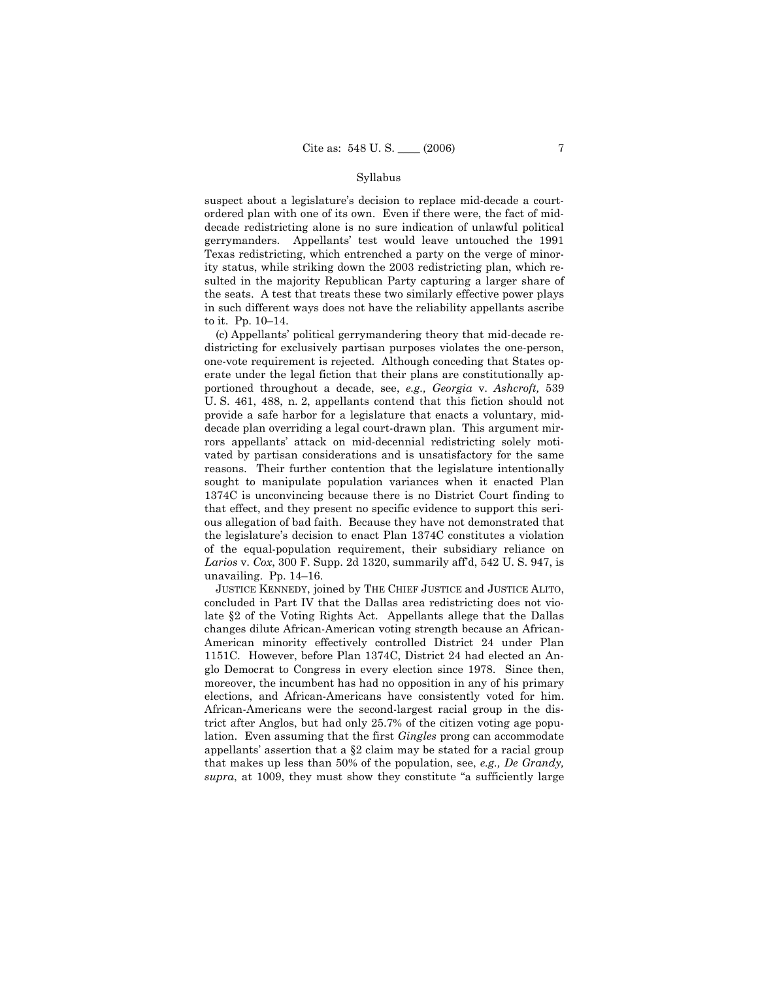suspect about a legislature's decision to replace mid-decade a courtordered plan with one of its own. Even if there were, the fact of middecade redistricting alone is no sure indication of unlawful political gerrymanders. Appellantsí test would leave untouched the 1991 Texas redistricting, which entrenched a party on the verge of minority status, while striking down the 2003 redistricting plan, which resulted in the majority Republican Party capturing a larger share of the seats. A test that treats these two similarly effective power plays in such different ways does not have the reliability appellants ascribe to it. Pp. 10-14.

 (c) Appellantsí political gerrymandering theory that mid-decade redistricting for exclusively partisan purposes violates the one-person, one-vote requirement is rejected. Although conceding that States operate under the legal fiction that their plans are constitutionally apportioned throughout a decade, see, *e.g., Georgia* v. *Ashcroft,* 539 U. S. 461, 488, n. 2, appellants contend that this fiction should not provide a safe harbor for a legislature that enacts a voluntary, middecade plan overriding a legal court-drawn plan. This argument mirrors appellants' attack on mid-decennial redistricting solely motivated by partisan considerations and is unsatisfactory for the same reasons. Their further contention that the legislature intentionally sought to manipulate population variances when it enacted Plan 1374C is unconvincing because there is no District Court finding to that effect, and they present no specific evidence to support this serious allegation of bad faith. Because they have not demonstrated that the legislatureís decision to enact Plan 1374C constitutes a violation of the equal-population requirement, their subsidiary reliance on *Larios* v. *Cox*, 300 F. Supp. 2d 1320, summarily affíd, 542 U. S. 947, is unavailing. Pp.  $14-16$ .

 JUSTICE KENNEDY, joined by THE CHIEF JUSTICE and JUSTICE ALITO, concluded in Part IV that the Dallas area redistricting does not violate ß2 of the Voting Rights Act. Appellants allege that the Dallas changes dilute African-American voting strength because an African-American minority effectively controlled District 24 under Plan 1151C. However, before Plan 1374C, District 24 had elected an Anglo Democrat to Congress in every election since 1978. Since then, moreover, the incumbent has had no opposition in any of his primary elections, and African-Americans have consistently voted for him. African-Americans were the second-largest racial group in the district after Anglos, but had only 25.7% of the citizen voting age population. Even assuming that the first *Gingles* prong can accommodate appellants' assertion that a  $\S2$  claim may be stated for a racial group that makes up less than 50% of the population, see, *e.g., De Grandy,*  supra, at 1009, they must show they constitute "a sufficiently large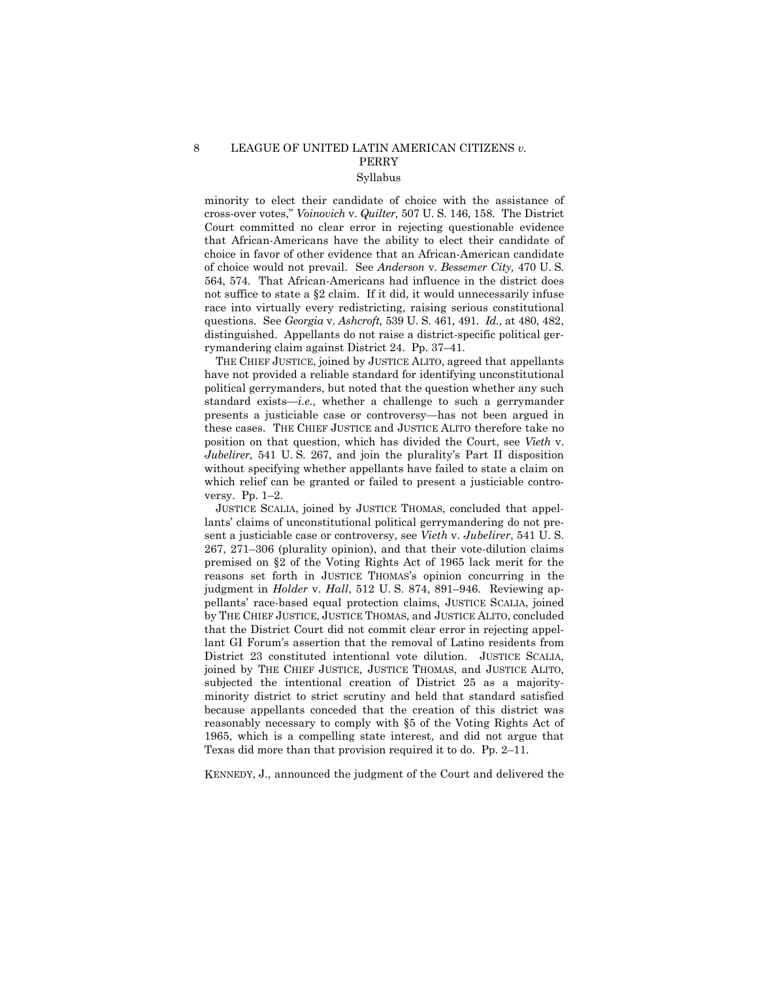# 8 LEAGUE OF UNITED LATIN AMERICAN CITIZENS *v.* PERRY Syllabus

minority to elect their candidate of choice with the assistance of cross-over votes,î *Voinovich* v. *Quilter,* 507 U. S. 146, 158. The District Court committed no clear error in rejecting questionable evidence that African-Americans have the ability to elect their candidate of choice in favor of other evidence that an African-American candidate of choice would not prevail. See *Anderson* v. *Bessemer City,* 470 U. S. 564, 574. That African-Americans had influence in the district does not suffice to state a ß2 claim. If it did, it would unnecessarily infuse race into virtually every redistricting, raising serious constitutional questions. See *Georgia* v. *Ashcroft,* 539 U. S. 461, 491. *Id.,* at 480, 482, distinguished. Appellants do not raise a district-specific political gerrymandering claim against District 24. Pp. 37-41.

 THE CHIEF JUSTICE, joined by JUSTICE ALITO, agreed that appellants have not provided a reliable standard for identifying unconstitutional political gerrymanders, but noted that the question whether any such standard exists—*i.e.*, whether a challenge to such a gerrymander presents a justiciable case or controversy—has not been argued in these cases. THE CHIEF JUSTICE and JUSTICE ALITO therefore take no position on that question, which has divided the Court, see *Vieth* v. *Jubelirer,* 541 U. S. 267, and join the pluralityís Part II disposition without specifying whether appellants have failed to state a claim on which relief can be granted or failed to present a justiciable controversy. Pp.  $1-2$ .

 JUSTICE SCALIA, joined by JUSTICE THOMAS, concluded that appellants' claims of unconstitutional political gerrymandering do not present a justiciable case or controversy, see *Vieth* v. *Jubelirer*, 541 U. S.  $267, 271–306$  (plurality opinion), and that their vote-dilution claims premised on ß2 of the Voting Rights Act of 1965 lack merit for the reasons set forth in JUSTICE THOMASís opinion concurring in the judgment in *Holder v. Hall*, 512 U.S. 874, 891–946. Reviewing appellantsí race-based equal protection claims, JUSTICE SCALIA, joined by THE CHIEF JUSTICE, JUSTICE THOMAS, and JUSTICE ALITO, concluded that the District Court did not commit clear error in rejecting appellant GI Forumís assertion that the removal of Latino residents from District 23 constituted intentional vote dilution. JUSTICE SCALIA, joined by THE CHIEF JUSTICE, JUSTICE THOMAS, and JUSTICE ALITO, subjected the intentional creation of District 25 as a majorityminority district to strict scrutiny and held that standard satisfied because appellants conceded that the creation of this district was reasonably necessary to comply with ß5 of the Voting Rights Act of 1965, which is a compelling state interest, and did not argue that Texas did more than that provision required it to do. Pp.  $2-11$ .

KENNEDY, J., announced the judgment of the Court and delivered the